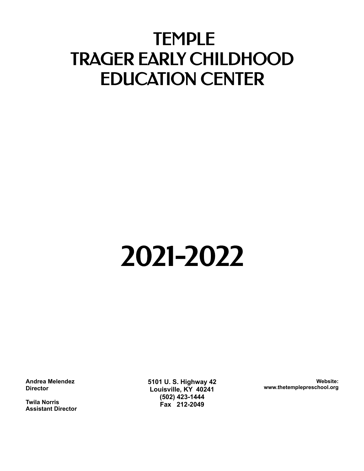# TEMPLE TRAGER EARLY CHILDHOOD EDUCATION CENTER

# 2021-2022

**Andrea Melendez Director**

**Twila Norris Assistant Director** **5101 U. S. Highway 42 Louisville, KY 40241 (502) 423-1444 Fax 212-2049**

**Website: www.thetemplepreschool.org**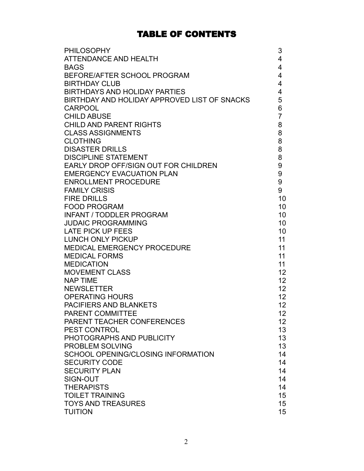# TABLE OF CONTENTS

| 4<br>$\overline{4}$<br>4<br>4<br>4<br>5<br>6<br>$\overline{7}$<br>8<br>8<br>8<br>8<br>8<br>9<br>$\boldsymbol{9}$<br><b>EMERGENCY EVACUATION PLAN</b><br>9<br><b>ENROLLMENT PROCEDURE</b><br>9<br><b>FAMILY CRISIS</b><br>10<br>10 <sup>1</sup><br>10 <sup>°</sup><br><b>JUDAIC PROGRAMMING</b><br>10 <sup>°</sup><br>10 <sup>1</sup><br>11<br>11<br>11<br>11<br><b>MOVEMENT CLASS</b><br>12 <sup>2</sup><br>12 <sup>2</sup><br>12 <sup>2</sup><br>12<br>12 <sub>2</sub><br>12<br>12<br>13<br>13<br>13<br>14<br>14<br>14<br>14<br>14<br>15<br>15 | <b>PHILOSOPHY</b>                            | 3 |
|-------------------------------------------------------------------------------------------------------------------------------------------------------------------------------------------------------------------------------------------------------------------------------------------------------------------------------------------------------------------------------------------------------------------------------------------------------------------------------------------------------------------------------------------------|----------------------------------------------|---|
|                                                                                                                                                                                                                                                                                                                                                                                                                                                                                                                                                 | ATTENDANCE AND HEALTH                        |   |
|                                                                                                                                                                                                                                                                                                                                                                                                                                                                                                                                                 | <b>BAGS</b>                                  |   |
|                                                                                                                                                                                                                                                                                                                                                                                                                                                                                                                                                 | BEFORE/AFTER SCHOOL PROGRAM                  |   |
|                                                                                                                                                                                                                                                                                                                                                                                                                                                                                                                                                 | <b>BIRTHDAY CLUB</b>                         |   |
|                                                                                                                                                                                                                                                                                                                                                                                                                                                                                                                                                 | <b>BIRTHDAYS AND HOLIDAY PARTIES</b>         |   |
|                                                                                                                                                                                                                                                                                                                                                                                                                                                                                                                                                 | BIRTHDAY AND HOLIDAY APPROVED LIST OF SNACKS |   |
|                                                                                                                                                                                                                                                                                                                                                                                                                                                                                                                                                 | <b>CARPOOL</b>                               |   |
|                                                                                                                                                                                                                                                                                                                                                                                                                                                                                                                                                 | <b>CHILD ABUSE</b>                           |   |
|                                                                                                                                                                                                                                                                                                                                                                                                                                                                                                                                                 | <b>CHILD AND PARENT RIGHTS</b>               |   |
|                                                                                                                                                                                                                                                                                                                                                                                                                                                                                                                                                 | <b>CLASS ASSIGNMENTS</b>                     |   |
|                                                                                                                                                                                                                                                                                                                                                                                                                                                                                                                                                 | <b>CLOTHING</b>                              |   |
|                                                                                                                                                                                                                                                                                                                                                                                                                                                                                                                                                 | <b>DISASTER DRILLS</b>                       |   |
|                                                                                                                                                                                                                                                                                                                                                                                                                                                                                                                                                 | <b>DISCIPLINE STATEMENT</b>                  |   |
|                                                                                                                                                                                                                                                                                                                                                                                                                                                                                                                                                 | EARLY DROP OFF/SIGN OUT FOR CHILDREN         |   |
|                                                                                                                                                                                                                                                                                                                                                                                                                                                                                                                                                 |                                              |   |
|                                                                                                                                                                                                                                                                                                                                                                                                                                                                                                                                                 |                                              |   |
|                                                                                                                                                                                                                                                                                                                                                                                                                                                                                                                                                 |                                              |   |
|                                                                                                                                                                                                                                                                                                                                                                                                                                                                                                                                                 | <b>FIRE DRILLS</b>                           |   |
|                                                                                                                                                                                                                                                                                                                                                                                                                                                                                                                                                 | <b>FOOD PROGRAM</b>                          |   |
|                                                                                                                                                                                                                                                                                                                                                                                                                                                                                                                                                 | <b>INFANT / TODDLER PROGRAM</b>              |   |
|                                                                                                                                                                                                                                                                                                                                                                                                                                                                                                                                                 |                                              |   |
|                                                                                                                                                                                                                                                                                                                                                                                                                                                                                                                                                 | <b>LATE PICK UP FEES</b>                     |   |
|                                                                                                                                                                                                                                                                                                                                                                                                                                                                                                                                                 | <b>LUNCH ONLY PICKUP</b>                     |   |
|                                                                                                                                                                                                                                                                                                                                                                                                                                                                                                                                                 | <b>MEDICAL EMERGENCY PROCEDURE</b>           |   |
|                                                                                                                                                                                                                                                                                                                                                                                                                                                                                                                                                 | <b>MEDICAL FORMS</b>                         |   |
|                                                                                                                                                                                                                                                                                                                                                                                                                                                                                                                                                 | <b>MEDICATION</b>                            |   |
|                                                                                                                                                                                                                                                                                                                                                                                                                                                                                                                                                 |                                              |   |
|                                                                                                                                                                                                                                                                                                                                                                                                                                                                                                                                                 | <b>NAP TIME</b>                              |   |
|                                                                                                                                                                                                                                                                                                                                                                                                                                                                                                                                                 | <b>NEWSLETTER</b>                            |   |
|                                                                                                                                                                                                                                                                                                                                                                                                                                                                                                                                                 | <b>OPERATING HOURS</b>                       |   |
|                                                                                                                                                                                                                                                                                                                                                                                                                                                                                                                                                 | PACIFIERS AND BLANKETS                       |   |
|                                                                                                                                                                                                                                                                                                                                                                                                                                                                                                                                                 | PARENT COMMITTEE                             |   |
|                                                                                                                                                                                                                                                                                                                                                                                                                                                                                                                                                 | PARENT TEACHER CONFERENCES                   |   |
|                                                                                                                                                                                                                                                                                                                                                                                                                                                                                                                                                 | <b>PEST CONTROL</b>                          |   |
|                                                                                                                                                                                                                                                                                                                                                                                                                                                                                                                                                 | PHOTOGRAPHS AND PUBLICITY                    |   |
|                                                                                                                                                                                                                                                                                                                                                                                                                                                                                                                                                 | PROBLEM SOLVING                              |   |
|                                                                                                                                                                                                                                                                                                                                                                                                                                                                                                                                                 | SCHOOL OPENING/CLOSING INFORMATION           |   |
|                                                                                                                                                                                                                                                                                                                                                                                                                                                                                                                                                 | <b>SECURITY CODE</b>                         |   |
|                                                                                                                                                                                                                                                                                                                                                                                                                                                                                                                                                 | <b>SECURITY PLAN</b>                         |   |
|                                                                                                                                                                                                                                                                                                                                                                                                                                                                                                                                                 | SIGN-OUT                                     |   |
|                                                                                                                                                                                                                                                                                                                                                                                                                                                                                                                                                 | <b>THERAPISTS</b>                            |   |
|                                                                                                                                                                                                                                                                                                                                                                                                                                                                                                                                                 | <b>TOILET TRAINING</b>                       |   |
|                                                                                                                                                                                                                                                                                                                                                                                                                                                                                                                                                 | <b>TOYS AND TREASURES</b>                    |   |
| 15                                                                                                                                                                                                                                                                                                                                                                                                                                                                                                                                              | <b>TUITION</b>                               |   |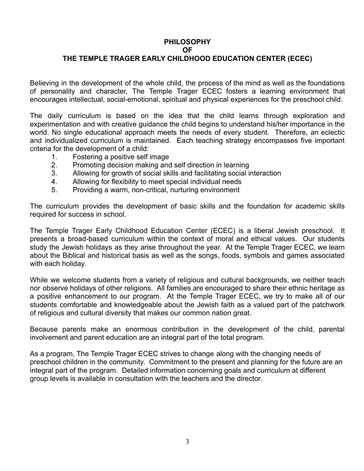# **PHILOSOPHY OF**

# **THE TEMPLE TRAGER EARLY CHILDHOOD EDUCATION CENTER (ECEC)**

Believing in the development of the whole child, the process of the mind as well as the foundations of personality and character, The Temple Trager ECEC fosters a learning environment that encourages intellectual, social-emotional, spiritual and physical experiences for the preschool child.

The daily curriculum is based on the idea that the child learns through exploration and experimentation and with creative guidance the child begins to understand his/her importance in the world. No single educational approach meets the needs of every student. Therefore, an eclectic and individualized curriculum is maintained. Each teaching strategy encompasses five important criteria for the development of a child:

- 1. Fostering a positive self image
- 2. Promoting decision making and self direction in learning
- 3. Allowing for growth of social skills and facilitating social interaction
- 4. Allowing for flexibility to meet special individual needs
- 5. Providing a warm, non-critical, nurturing environment

The curriculum provides the development of basic skills and the foundation for academic skills required for success in school.

The Temple Trager Early Childhood Education Center (ECEC) is a liberal Jewish preschool. It presents a broad-based curriculum within the context of moral and ethical values. Our students study the Jewish holidays as they arise throughout the year. At the Temple Trager ECEC, we learn about the Biblical and historical basis as well as the songs, foods, symbols and games associated with each holiday.

While we welcome students from a variety of religious and cultural backgrounds, we neither teach nor observe holidays of other religions. All families are encouraged to share their ethnic heritage as a positive enhancement to our program. At the Temple Trager ECEC, we try to make all of our students comfortable and knowledgeable about the Jewish faith as a valued part of the patchwork of religious and cultural diversity that makes our common nation great.

Because parents make an enormous contribution in the development of the child, parental involvement and parent education are an integral part of the total program.

As a program, The Temple Trager ECEC strives to change along with the changing needs of preschool children in the community. Commitment to the present and planning for the future are an integral part of the program. Detailed information concerning goals and curriculum at different group levels is available in consultation with the teachers and the director.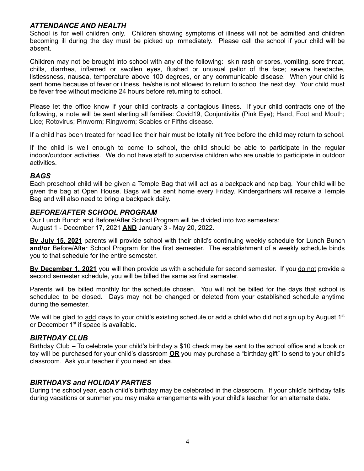# *ATTENDANCE AND HEALTH*

School is for well children only. Children showing symptoms of illness will not be admitted and children becoming ill during the day must be picked up immediately. Please call the school if your child will be absent.

Children may not be brought into school with any of the following: skin rash or sores, vomiting, sore throat, chills, diarrhea, inflamed or swollen eyes, flushed or unusual pallor of the face; severe headache, listlessness, nausea, temperature above 100 degrees, or any communicable disease. When your child is sent home because of fever or illness, he/she is not allowed to return to school the next day. Your child must be fever free without medicine 24 hours before returning to school.

Please let the office know if your child contracts a contagious illness. If your child contracts one of the following, a note will be sent alerting all families: Covid19, Conjuntivitis (Pink Eye); Hand, Foot and Mouth; Lice; Rotovirus; Pinworm; Ringworm; Scabies or Fifths disease.

If a child has been treated for head lice their hair must be totally nit free before the child may return to school.

If the child is well enough to come to school, the child should be able to participate in the regular indoor/outdoor activities. We do not have staff to supervise children who are unable to participate in outdoor activities.

## *BAGS*

Each preschool child will be given a Temple Bag that will act as a backpack and nap bag. Your child will be given the bag at Open House. Bags will be sent home every Friday. Kindergartners will receive a Temple Bag and will also need to bring a backpack daily.

## *BEFORE/AFTER SCHOOL PROGRAM*

Our Lunch Bunch and Before/After School Program will be divided into two semesters: August 1 - December 17, 2021 **AND** January 3 - May 20, 2022.

**By July 15, 2021** parents will provide school with their child's continuing weekly schedule for Lunch Bunch **and/or** Before/After School Program for the first semester. The establishment of a weekly schedule binds you to that schedule for the entire semester.

**By December 1, 2021** you will then provide us with a schedule for second semester. If you do not provide a second semester schedule, you will be billed the same as first semester.

Parents will be billed monthly for the schedule chosen. You will not be billed for the days that school is scheduled to be closed. Days may not be changed or deleted from your established schedule anytime during the semester.

We will be glad to add days to your child's existing schedule or add a child who did not sign up by August 1<sup>st</sup> or December 1<sup>st</sup> if space is available.

# *BIRTHDAY CLUB*

Birthday Club – To celebrate your child's birthday a \$10 check may be sent to the school office and a book or toy will be purchased for your child's classroom **OR** you may purchase a "birthday gift" to send to your child's classroom. Ask your teacher if you need an idea.

# *BIRTHDAYS and HOLIDAY PARTIES*

During the school year, each child's birthday may be celebrated in the classroom. If your child's birthday falls during vacations or summer you may make arrangements with your child's teacher for an alternate date.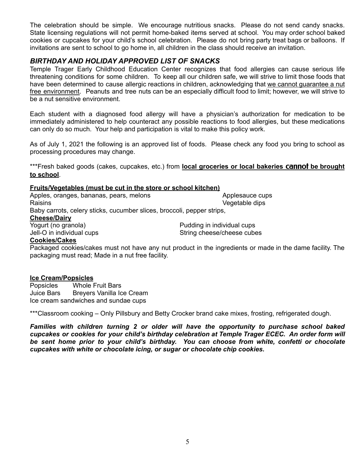The celebration should be simple. We encourage nutritious snacks. Please do not send candy snacks. State licensing regulations will not permit home-baked items served at school. You may order school baked cookies or cupcakes for your child's school celebration. Please do not bring party treat bags or balloons. If invitations are sent to school to go home in, all children in the class should receive an invitation.

# *BIRTHDAY AND HOLIDAY APPROVED LIST OF SNACKS*

Temple Trager Early Childhood Education Center recognizes that food allergies can cause serious life threatening conditions for some children. To keep all our children safe, we will strive to limit those foods that have been determined to cause allergic reactions in children, acknowledging that we cannot guarantee a nut free environment. Peanuts and tree nuts can be an especially difficult food to limit; however, we will strive to be a nut sensitive environment.

Each student with a diagnosed food allergy will have a physician's authorization for medication to be immediately administered to help counteract any possible reactions to food allergies, but these medications can only do so much. Your help and participation is vital to make this policy work.

As of July 1, 2021 the following is an approved list of foods. Please check any food you bring to school as processing procedures may change.

\*\*\*Fresh baked goods (cakes, cupcakes, etc.) from **local groceries or local bakeries** cannot **be brought to school**.

#### **Fruits/Vegetables (must be cut in the store or school kitchen)**

Apples, oranges, bananas, pears, melons Applesauce cups Raisins **Contract Contract Contract Contract Contract Contract Contract Contract Contract Contract Contract Contract Contract Contract Contract Contract Contract Contract Contract Contract Contract Contract Contract Contra** Baby carrots, celery sticks, cucumber slices, broccoli, pepper strips, **Cheese/Dairy** Yogurt (no granola) example a proportion of the Pudding in individual cups Jell-O in individual cups string cheese/cheese cubes

#### **Cookies/Cakes** Packaged cookies/cakes must not have any nut product in the ingredients or made in the dame facility. The packaging must read; Made in a nut free facility.

#### **Ice Cream/Popsicles**

Popsicles Whole Fruit Bars Juice Bars Breyers Vanilla Ice Cream Ice cream sandwiches and sundae cups

\*\*\*Classroom cooking – Only Pillsbury and Betty Crocker brand cake mixes, frosting, refrigerated dough.

*Families with children turning 2 or older will have the opportunity to purchase school baked cupcakes or cookies for your child's birthday celebration at Temple Trager ECEC. An order form will be sent home prior to your child's birthday. You can choose from white, confetti or chocolate cupcakes with white or chocolate icing, or sugar or chocolate chip cookies.*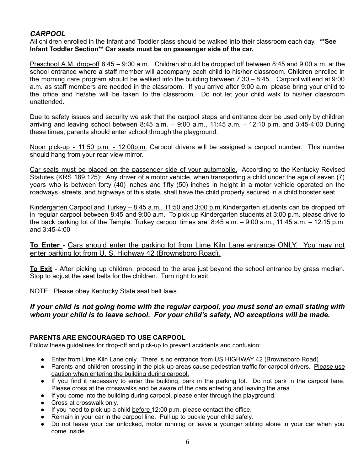# *CARPOOL*

All children enrolled in the Infant and Toddler class should be walked into their classroom each day. **\*\*See Infant Toddler Section\*\* Car seats must be on passenger side of the car.**

Preschool A.M. drop-off 8:45 – 9:00 a.m. Children should be dropped off between 8:45 and 9:00 a.m. at the school entrance where a staff member will accompany each child to his/her classroom. Children enrolled in the morning care program should be walked into the building between 7:30 – 8:45. Carpool will end at 9:00 a.m. as staff members are needed in the classroom. If you arrive after 9:00 a.m. please bring your child to the office and he/she will be taken to the classroom. Do not let your child walk to his/her classroom unattended.

Due to safety issues and security we ask that the carpool steps and entrance door be used only by children arriving and leaving school between 8:45 a.m. – 9:00 a.m., 11:45 a.m. – 12:10 p.m. and 3:45-4:00 During these times, parents should enter school through the playground.

Noon pick-up - 11:50 p.m. - 12:00p.m. Carpool drivers will be assigned a carpool number. This number should hang from your rear view mirror.

Car seats must be placed on the passenger side of your automobile. According to the Kentucky Revised Statutes (KRS 189.125): Any driver of a motor vehicle, when transporting a child under the age of seven (7) years who is between forty (40) inches and fifty (50) inches in height in a motor vehicle operated on the roadways, streets, and highways of this state, shall have the child properly secured in a child booster seat.

Kindergarten Carpool and Turkey - 8:45 a.m., 11:50 and 3:00 p.m. Kindergarten students can be dropped off in regular carpool between 8:45 and 9:00 a.m. To pick up Kindergarten students at 3:00 p.m. please drive to the back parking lot of the Temple. Turkey carpool times are 8:45 a.m. – 9:00 a.m., 11:45 a.m. – 12:15 p.m. and 3:45-4:00

**To Enter** - Cars should enter the parking lot from Lime Kiln Lane entrance ONLY. You may not enter parking lot from U. S. Highway 42 (Brownsboro Road).

**To Exit** - After picking up children, proceed to the area just beyond the school entrance by grass median. Stop to adjust the seat belts for the children. Turn right to exit.

NOTE: Please obey Kentucky State seat belt laws.

# *If your child is not going home with the regular carpool, you must send an email stating with whom your child is to leave school. For your child's safety, NO exceptions will be made.*

#### **PARENTS ARE ENCOURAGED TO USE CARPOOL**

Follow these guidelines for drop-off and pick-up to prevent accidents and confusion:

- Enter from Lime Kiln Lane only. There is no entrance from US HIGHWAY 42 (Brownsboro Road)
- Parents and children crossing in the pick-up areas cause pedestrian traffic for carpool drivers. Please use caution when entering the building during carpool.
- If you find it necessary to enter the building, park in the parking lot. Do not park in the carpool lane. Please cross at the crosswalks and be aware of the cars entering and leaving the area.
- If you come into the building during carpool, please enter through the playground.
- Cross at crosswalk only.
- If you need to pick up a child before 12:00 p.m. please contact the office.
- Remain in your car in the carpool line. Pull up to buckle your child safely.
- Do not leave your car unlocked, motor running or leave a younger sibling alone in your car when you come inside.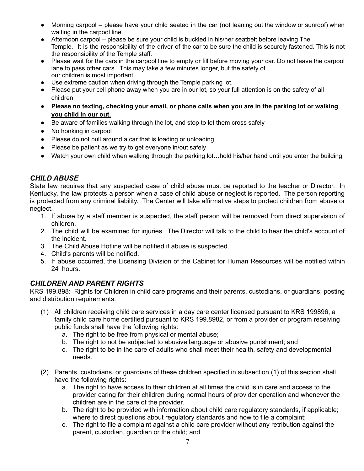- Morning carpool please have your child seated in the car (not leaning out the window or sunroof) when waiting in the carpool line.
- Afternoon carpool please be sure your child is buckled in his/her seatbelt before leaving The Temple. It is the responsibility of the driver of the car to be sure the child is securely fastened. This is not the responsibility of the Temple staff.
- Please wait for the cars in the carpool line to empty or fill before moving your car. Do not leave the carpool lane to pass other cars. This may take a few minutes longer, but the safety of our children is most important.
- Use extreme caution when driving through the Temple parking lot.
- Please put your cell phone away when you are in our lot, so your full attention is on the safety of all children
- **● Please no texting, checking your email, or phone calls when you are in the parking lot or walking you child in our out.**
- Be aware of families walking through the lot, and stop to let them cross safely
- No honking in carpool
- Please do not pull around a car that is loading or unloading
- Please be patient as we try to get everyone in/out safely
- Watch your own child when walking through the parking lot…hold his/her hand until you enter the building

# *CHILD ABUSE*

State law requires that any suspected case of child abuse must be reported to the teacher or Director. In Kentucky, the law protects a person when a case of child abuse or neglect is reported. The person reporting is protected from any criminal liability. The Center will take affirmative steps to protect children from abuse or neglect.

- 1. If abuse by a staff member is suspected, the staff person will be removed from direct supervision of children.
- 2. The child will be examined for injuries. The Director will talk to the child to hear the child's account of the incident.
- 3. The Child Abuse Hotline will be notified if abuse is suspected.
- 4. Child's parents will be notified.
- 5. If abuse occurred, the Licensing Division of the Cabinet for Human Resources will be notified within 24 hours.

# *CHILDREN AND PARENT RIGHTS*

KRS 199.898: Rights for Children in child care programs and their parents, custodians, or guardians; posting and distribution requirements.

- (1) All children receiving child care services in a day care center licensed pursuant to KRS 199896, a family child care home certified pursuant to KRS 199.8982, or from a provider or program receiving public funds shall have the following rights:
	- a. The right to be free from physical or mental abuse;
	- b. The right to not be subjected to abusive language or abusive punishment; and
	- c. The right to be in the care of adults who shall meet their health, safety and developmental needs.
- (2) Parents, custodians, or guardians of these children specified in subsection (1) of this section shall have the following rights:
	- a. The right to have access to their children at all times the child is in care and access to the provider caring for their children during normal hours of provider operation and whenever the children are in the care of the provider.
	- b. The right to be provided with information about child care regulatory standards, if applicable; where to direct questions about regulatory standards and how to file a complaint;
	- c. The right to file a complaint against a child care provider without any retribution against the parent, custodian, guardian or the child; and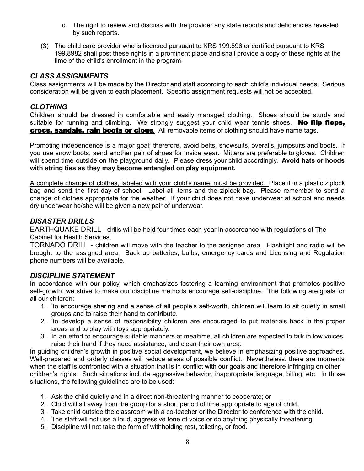- d. The right to review and discuss with the provider any state reports and deficiencies revealed by such reports.
- (3) The child care provider who is licensed pursuant to KRS 199.896 or certified pursuant to KRS 199.8982 shall post these rights in a prominent place and shall provide a copy of these rights at the time of the child's enrollment in the program.

# *CLASS ASSIGNMENTS*

Class assignments will be made by the Director and staff according to each child's individual needs. Serious consideration will be given to each placement. Specific assignment requests will not be accepted.

# *CLOTHING*

Children should be dressed in comfortable and easily managed clothing. Shoes should be sturdy and suitable for running and climbing. We strongly suggest your child wear tennis shoes. No flip flops, crocs, sandals, rain boots or clogs**.** All removable items of clothing should have name tags..

Promoting independence is a major goal; therefore, avoid belts, snowsuits, overalls, jumpsuits and boots. If you use snow boots, send another pair of shoes for inside wear. Mittens are preferable to gloves. Children will spend time outside on the playground daily. Please dress your child accordingly. **Avoid hats or hoods with string ties as they may become entangled on play equipment.**

A complete change of clothes, labeled with your child's name, must be provided. Place it in a plastic ziplock bag and send the first day of school. Label all items and the ziplock bag. Please remember to send a change of clothes appropriate for the weather. If your child does not have underwear at school and needs dry underwear he/she will be given a new pair of underwear.

# *DISASTER DRILLS*

EARTHQUAKE DRILL - drills will be held four times each year in accordance with regulations of The Cabinet for Health Services.

TORNADO DRILL - children will move with the teacher to the assigned area. Flashlight and radio will be brought to the assigned area. Back up batteries, bulbs, emergency cards and Licensing and Regulation phone numbers will be available.

# *DISCIPLINE STATEMENT*

In accordance with our policy, which emphasizes fostering a learning environment that promotes positive self-growth, we strive to make our discipline methods encourage self-discipline. The following are goals for all our children:

- 1. To encourage sharing and a sense of all people's self-worth, children will learn to sit quietly in small groups and to raise their hand to contribute.
- 2. To develop a sense of responsibility children are encouraged to put materials back in the proper areas and to play with toys appropriately.
- 3. In an effort to encourage suitable manners at mealtime, all children are expected to talk in low voices, raise their hand if they need assistance, and clean their own area.

In guiding children's growth in positive social development, we believe in emphasizing positive approaches. Well-prepared and orderly classes will reduce areas of possible conflict. Nevertheless, there are moments when the staff is confronted with a situation that is in conflict with our goals and therefore infringing on other children's rights. Such situations include aggressive behavior, inappropriate language, biting, etc. In those situations, the following guidelines are to be used:

- 1. Ask the child quietly and in a direct non-threatening manner to cooperate; or
- 2. Child will sit away from the group for a short period of time appropriate to age of child.
- 3. Take child outside the classroom with a co-teacher or the Director to conference with the child.
- 4. The staff will not use a loud, aggressive tone of voice or do anything physically threatening.
- 5. Discipline will not take the form of withholding rest, toileting, or food.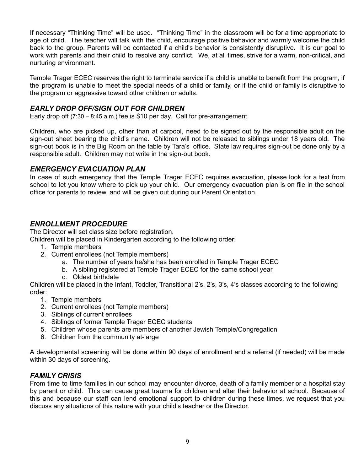If necessary "Thinking Time" will be used. "Thinking Time" in the classroom will be for a time appropriate to age of child. The teacher will talk with the child, encourage positive behavior and warmly welcome the child back to the group. Parents will be contacted if a child's behavior is consistently disruptive. It is our goal to work with parents and their child to resolve any conflict. We, at all times, strive for a warm, non-critical, and nurturing environment.

Temple Trager ECEC reserves the right to terminate service if a child is unable to benefit from the program, if the program is unable to meet the special needs of a child or family, or if the child or family is disruptive to the program or aggressive toward other children or adults.

# *EARLY DROP OFF/SIGN OUT FOR CHILDREN*

Early drop off  $(7:30 - 8:45 \text{ a.m.})$  fee is \$10 per day. Call for pre-arrangement.

Children, who are picked up, other than at carpool, need to be signed out by the responsible adult on the sign-out sheet bearing the child's name. Children will not be released to siblings under 18 years old. The sign-out book is in the Big Room on the table by Tara's office. State law requires sign-out be done only by a responsible adult. Children may not write in the sign-out book.

#### *EMERGENCY EVACUATION PLAN*

In case of such emergency that the Temple Trager ECEC requires evacuation, please look for a text from school to let you know where to pick up your child. Our emergency evacuation plan is on file in the school office for parents to review, and will be given out during our Parent Orientation.

# *ENROLLMENT PROCEDURE*

The Director will set class size before registration.

Children will be placed in Kindergarten according to the following order:

- 1. Temple members
- 2. Current enrollees (not Temple members)
	- a. The number of years he/she has been enrolled in Temple Trager ECEC
	- b. A sibling registered at Temple Trager ECEC for the same school year
	- c. Oldest birthdate

Children will be placed in the Infant, Toddler, Transitional 2's, 2's, 3's, 4's classes according to the following order:

- 1. Temple members
- 2. Current enrollees (not Temple members)
- 3. Siblings of current enrollees
- 4. Siblings of former Temple Trager ECEC students
- 5. Children whose parents are members of another Jewish Temple/Congregation
- 6. Children from the community at-large

A developmental screening will be done within 90 days of enrollment and a referral (if needed) will be made within 30 days of screening.

# *FAMILY CRISIS*

From time to time families in our school may encounter divorce, death of a family member or a hospital stay by parent or child. This can cause great trauma for children and alter their behavior at school. Because of this and because our staff can lend emotional support to children during these times, we request that you discuss any situations of this nature with your child's teacher or the Director.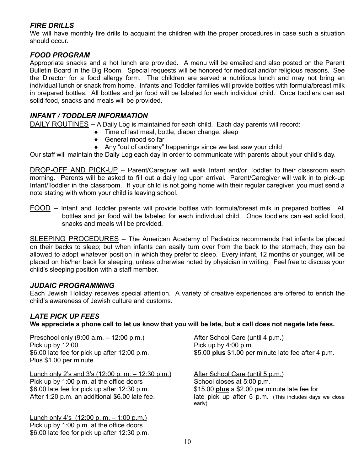# *FIRE DRILLS*

We will have monthly fire drills to acquaint the children with the proper procedures in case such a situation should occur.

# *FOOD PROGRAM*

Appropriate snacks and a hot lunch are provided. A menu will be emailed and also posted on the Parent Bulletin Board in the Big Room. Special requests will be honored for medical and/or religious reasons. See the Director for a food allergy form. The children are served a nutritious lunch and may not bring an individual lunch or snack from home. Infants and Toddler families will provide bottles with formula/breast milk in prepared bottles. All bottles and jar food will be labeled for each individual child. Once toddlers can eat solid food, snacks and meals will be provided.

# *INFANT / TODDLER INFORMATION*

DAILY ROUTINES - A Daily Log is maintained for each child. Each day parents will record:

- Time of last meal, bottle, diaper change, sleep
- General mood so far
- Any "out of ordinary" happenings since we last saw your child

Our staff will maintain the Daily Log each day in order to communicate with parents about your child's day.

DROP-OFF AND PICK-UP – Parent/Caregiver will walk Infant and/or Toddler to their classroom each morning. Parents will be asked to fill out a daily log upon arrival. Parent/Caregiver will walk in to pick-up Infant/Toddler in the classroom. If your child is not going home with their regular caregiver, you must send a note stating with whom your child is leaving school.

FOOD – Infant and Toddler parents will provide bottles with formula/breast milk in prepared bottles. All bottles and jar food will be labeled for each individual child. Once toddlers can eat solid food, snacks and meals will be provided.

SLEEPING PROCEDURES – The American Academy of Pediatrics recommends that infants be placed on their backs to sleep; but when infants can easily turn over from the back to the stomach, they can be allowed to adopt whatever position in which they prefer to sleep. Every infant, 12 months or younger, will be placed on his/her back for sleeping, unless otherwise noted by physician in writing. Feel free to discuss your child's sleeping position with a staff member.

# *JUDAIC PROGRAMMING*

Each Jewish Holiday receives special attention. A variety of creative experiences are offered to enrich the child's awareness of Jewish culture and customs.

# *LATE PICK UP FEES*

We appreciate a phone call to let us know that you will be late, but a call does not negate late fees.

Preschool only (9:00 a.m. – 12:00 p.m.) After School Care (until 4 p.m.) Pick up by 12:00 Pick up by 4:00 p.m. Plus \$1.00 per minute

Lunch only 2's and 3's (12:00 p. m.  $-$  12:30 p.m.) After School Care (until 5 p.m.) Pick up by 1:00 p.m. at the office doors School closes at 5:00 p.m. \$6.00 late fee for pick up after 12:30 p.m. \$15.00 **plus** a \$2.00 per minute late fee for

Lunch only 4's  $(12:00 \text{ p. m.} - 1:00 \text{ p.m.})$ Pick up by 1:00 p.m. at the office doors \$6.00 late fee for pick up after 12:30 p.m.

\$6.00 late fee for pick up after 12:00 p.m. \$5.00 **plus** \$1.00 per minute late fee after 4 p.m.

After 1:20 p.m. an additional \$6.00 late fee. late pick up after 5 p.m. (This includes days we close early)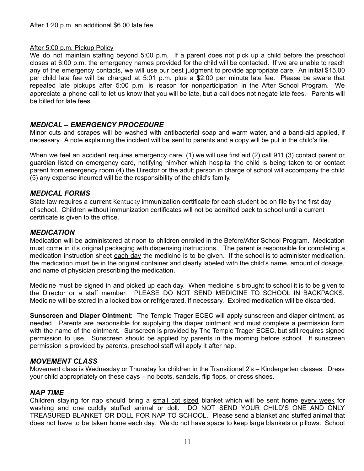#### After 5:00 p.m. Pickup Policy

We do not maintain staffing beyond 5:00 p.m. If a parent does not pick up a child before the preschool closes at 6:00 p.m. the emergency names provided for the child will be contacted. If we are unable to reach any of the emergency contacts, we will use our best judgment to provide appropriate care. An initial \$15.00 per child late fee will be charged at 5:01 p.m. plus a \$2.00 per minute late fee. Please be aware that repeated late pickups after 5:00 p.m. is reason for nonparticipation in the After School Program. We appreciate a phone call to let us know that you will be late, but a call does not negate late fees. Parents will be billed for late fees.

# *MEDICAL – EMERGENCY PROCEDURE*

Minor cuts and scrapes will be washed with antibacterial soap and warm water, and a band-aid applied, if necessary. A note explaining the incident will be sent to parents and a copy will be put in the child's file.

When we feel an accident requires emergency care, (1) we will use first aid (2) call 911 (3) contact parent or guardian listed on emergency card, notifying him/her which hospital the child is being taken to or contact parent from emergency room (4) the Director or the adult person in charge of school will accompany the child (5) any expense incurred will be the responsibility of the child's family.

## *MEDICAL FORMS*

State law requires a **current** Kentucky immunization certificate for each student be on file by the first day of school. Children without immunization certificates will not be admitted back to school until a current certificate is given to the office.

## *MEDICATION*

Medication will be administered at noon to children enrolled in the Before/After School Program. Medication must come in it's original packaging with dispensing instructions. The parent is responsible for completing a medication instruction sheet each day the medicine is to be given. If the school is to administer medication, the medication must be in the original container and clearly labeled with the child's name, amount of dosage, and name of physician prescribing the medication.

Medicine must be signed in and picked up each day. When medicine is brought to school it is to be given to the Director or a staff member. PLEASE DO NOT SEND MEDICINE TO SCHOOL IN BACKPACKS. Medicine will be stored in a locked box or refrigerated, if necessary. Expired medication will be discarded.

**Sunscreen and Diaper Ointment**: The Temple Trager ECEC will apply sunscreen and diaper ointment, as needed. Parents are responsible for supplying the diaper ointment and must complete a permission form with the name of the ointment. Sunscreen is provided by The Temple Trager ECEC, but still requires signed permission to use. Sunscreen should be applied by parents in the morning before school. If sunscreen permission is provided by parents, preschool staff will apply it after nap.

#### *MOVEMENT CLASS*

Movement class is Wednesday or Thursday for children in the Transitional 2's – Kindergarten classes. Dress your child appropriately on these days – no boots, sandals, flip flops, or dress shoes.

## *NAP TIME*

Children staying for nap should bring a small cot sized blanket which will be sent home every week for washing and one cuddly stuffed animal or doll. DO NOT SEND YOUR CHILD'S ONE AND ONLY TREASURED BLANKET OR DOLL FOR NAP TO SCHOOL. Please send a blanket and stuffed animal that does not have to be taken home each day. We do not have space to keep large blankets or pillows. School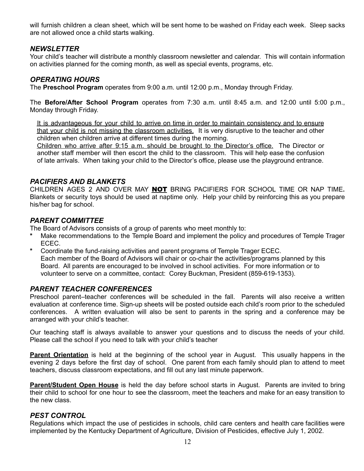will furnish children a clean sheet, which will be sent home to be washed on Friday each week. Sleep sacks are not allowed once a child starts walking.

# *NEWSLETTER*

Your child's teacher will distribute a monthly classroom newsletter and calendar. This will contain information on activities planned for the coming month, as well as special events, programs, etc.

# *OPERATING HOURS*

The **Preschool Program** operates from 9:00 a.m. until 12:00 p.m., Monday through Friday.

The **Before/After School Program** operates from 7:30 a.m. until 8:45 a.m. and 12:00 until 5:00 p.m., Monday through Friday.

It is advantageous for your child to arrive on time in order to maintain consistency and to ensure that your child is not missing the classroom activities. It is very disruptive to the teacher and other children when children arrive at different times during the morning.

Children who arrive after 9:15 a.m. should be brought to the Director's office. The Director or another staff member will then escort the child to the classroom. This will help ease the confusion of late arrivals. When taking your child to the Director's office, please use the playground entrance.

## *PACIFIERS AND BLANKETS*

CHILDREN AGES 2 AND OVER MAY NOT BRING PACIFIERS FOR SCHOOL TIME OR NAP TIME**.** Blankets or security toys should be used at naptime only. Help your child by reinforcing this as you prepare his/her bag for school.

# *PARENT COMMITTEE*

The Board of Advisors consists of a group of parents who meet monthly to:

- **\*** Make recommendations to the Temple Board and implement the policy and procedures of Temple Trager ECEC.
- **\*** Coordinate the fund-raising activities and parent programs of Temple Trager ECEC. Each member of the Board of Advisors will chair or co-chair the activities/programs planned by this Board. All parents are encouraged to be involved in school activities. For more information or to volunteer to serve on a committee, contact: Corey Buckman, President (859-619-1353).

# *PARENT TEACHER CONFERENCES*

Preschool parent–teacher conferences will be scheduled in the fall. Parents will also receive a written evaluation at conference time. Sign-up sheets will be posted outside each child's room prior to the scheduled conferences. A written evaluation will also be sent to parents in the spring and a conference may be arranged with your child's teacher.

Our teaching staff is always available to answer your questions and to discuss the needs of your child. Please call the school if you need to talk with your child's teacher

**Parent Orientation** is held at the beginning of the school year in August. This usually happens in the evening 2 days before the first day of school. One parent from each family should plan to attend to meet teachers, discuss classroom expectations, and fill out any last minute paperwork.

**Parent/Student Open House** is held the day before school starts in August. Parents are invited to bring their child to school for one hour to see the classroom, meet the teachers and make for an easy transition to the new class.

# *PEST CONTROL*

Regulations which impact the use of pesticides in schools, child care centers and health care facilities were implemented by the Kentucky Department of Agriculture, Division of Pesticides, effective July 1, 2002.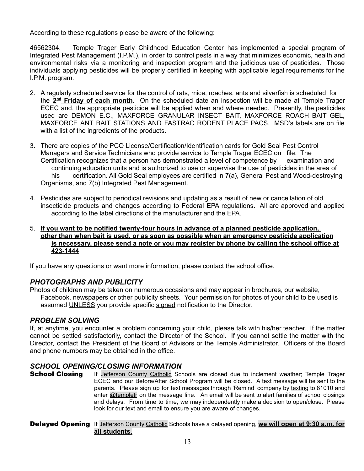According to these regulations please be aware of the following:

46562304. Temple Trager Early Childhood Education Center has implemented a special program of Integrated Pest Management (I.P.M.), in order to control pests in a way that minimizes economic, health and environmental risks via a monitoring and inspection program and the judicious use of pesticides. Those individuals applying pesticides will be properly certified in keeping with applicable legal requirements for the I.P.M. program.

- 2. A regularly scheduled service for the control of rats, mice, roaches, ants and silverfish is scheduled for the  $2^{\text{nd}}$  Friday of each month. On the scheduled date an inspection will be made at Temple Trager ECEC and, the appropriate pesticide will be applied when and where needed. Presently, the pesticides used are DEMON E.C., MAXFORCE GRANULAR INSECT BAIT, MAXFORCE ROACH BAIT GEL, MAXFORCE ANT BAIT STATIONS AND FASTRAC RODENT PLACE PACS. MSD's labels are on file with a list of the ingredients of the products.
- 3. There are copies of the PCO License/Certification/Identification cards for Gold Seal Pest Control Managers and Service Technicians who provide service to Temple Trager ECEC on file. The Certification recognizes that a person has demonstrated a level of competence by examination and continuing education units and is authorized to use or supervise the use of pesticides in the area of his certification. All Gold Seal employees are certified in 7(a), General Pest and Wood-destroying Organisms, and 7(b) Integrated Pest Management.
- 4. Pesticides are subject to periodical revisions and updating as a result of new or cancellation of old insecticide products and changes according to Federal EPA regulations. All are approved and applied according to the label directions of the manufacturer and the EPA.
- 5. **If you want to be notified twenty-four hours in advance of a planned pesticide application, other than when bait is used, or as soon as possible when an emergency pesticide application is necessary, please send a note or you may register by phone by calling the school office at 423-1444**

If you have any questions or want more information, please contact the school office.

# *PHOTOGRAPHS AND PUBLICITY*

Photos of children may be taken on numerous occasions and may appear in brochures, our website, Facebook, newspapers or other publicity sheets. Your permission for photos of your child to be used is assumed UNLESS you provide specific signed notification to the Director.

# *PROBLEM SOLVING*

If, at anytime, you encounter a problem concerning your child, please talk with his/her teacher. If the matter cannot be settled satisfactorily, contact the Director of the School. If you cannot settle the matter with the Director, contact the President of the Board of Advisors or the Temple Administrator. Officers of the Board and phone numbers may be obtained in the office.

# *SCHOOL OPENING/CLOSING INFORMATION*

**School Closing** If Jefferson County Catholic Schools are closed due to inclement weather; Temple Trager ECEC and our Before/After School Program will be closed. A text message will be sent to the parents. Please sign up for text messages through 'Remind' company by texting to 81010 and enter @templetr on the message line. An email will be sent to alert families of school closings and delays. From time to time, we may independently make a decision to open/close. Please look for our text and email to ensure you are aware of changes.

#### Delayed Opening If Jefferson County Catholic Schools have a delayed opening, **we will open at 9:30 a.m. for all students.**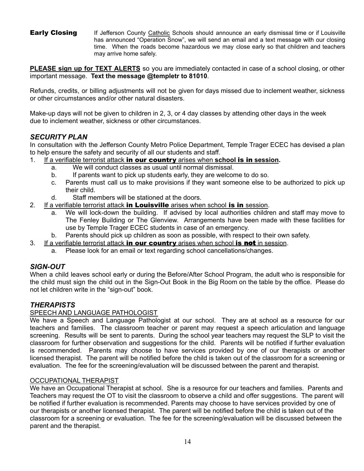**Early Closing** If Jefferson County Catholic Schools should announce an early dismissal time or if Louisville has announced "Operation Snow", we will send an email and a text message with our closing time. When the roads become hazardous we may close early so that children and teachers may arrive home safely.

**PLEASE sign up for TEXT ALERTS** so you are immediately contacted in case of a school closing, or other important message. **Text the message @templetr to 81010**.

Refunds, credits, or billing adjustments will not be given for days missed due to inclement weather, sickness or other circumstances and/or other natural disasters.

Make-up days will not be given to children in 2, 3, or 4 day classes by attending other days in the week due to inclement weather, sickness or other circumstances.

# *SECURITY PLAN*

In consultation with the Jefferson County Metro Police Department, Temple Trager ECEC has devised a plan to help ensure the safety and security of all our students and staff.

- 1. If a verifiable terrorist attack in our country arises when **school** is in **session.**
	- a. We will conduct classes as usual until normal dismissal.
	- b. If parents want to pick up students early, they are welcome to do so.
	- c. Parents must call us to make provisions if they want someone else to be authorized to pick up their child.
	- d. Staff members will be stationed at the doors.
- 2. If a verifiable terrorist attack in Louisville arises when school is in session.
	- a. We will lock-down the building. If advised by local authorities children and staff may move to The Fenley Building or The Glenview. Arrangements have been made with these facilities for use by Temple Trager ECEC students in case of an emergency.
	- b. Parents should pick up children as soon as possible, with respect to their own safety.
- 3. If a verifiable terrorist attack **in our country** arises when school **is not** in session.
	- a. Please look for an email or text regarding school cancellations/changes.

# *SIGN-OUT*

When a child leaves school early or during the Before/After School Program, the adult who is responsible for the child must sign the child out in the Sign-Out Book in the Big Room on the table by the office. Please do not let children write in the "sign-out" book.

# *THERAPISTS*

#### SPEECH AND LANGUAGE PATHOLOGIST

We have a Speech and Language Pathologist at our school. They are at school as a resource for our teachers and families. The classroom teacher or parent may request a speech articulation and language screening. Results will be sent to parents. During the school year teachers may request the SLP to visit the classroom for further observation and suggestions for the child. Parents will be notified if further evaluation is recommended. Parents may choose to have services provided by one of our therapists or another licensed therapist. The parent will be notified before the child is taken out of the classroom for a screening or evaluation. The fee for the screening/evaluation will be discussed between the parent and therapist.

#### OCCUPATIONAL THERAPIST

We have an Occupational Therapist at school. She is a resource for our teachers and families. Parents and Teachers may request the OT to visit the classroom to observe a child and offer suggestions. The parent will be notified if further evaluation is recommended. Parents may choose to have services provided by one of our therapists or another licensed therapist. The parent will be notified before the child is taken out of the classroom for a screening or evaluation. The fee for the screening/evaluation will be discussed between the parent and the therapist.